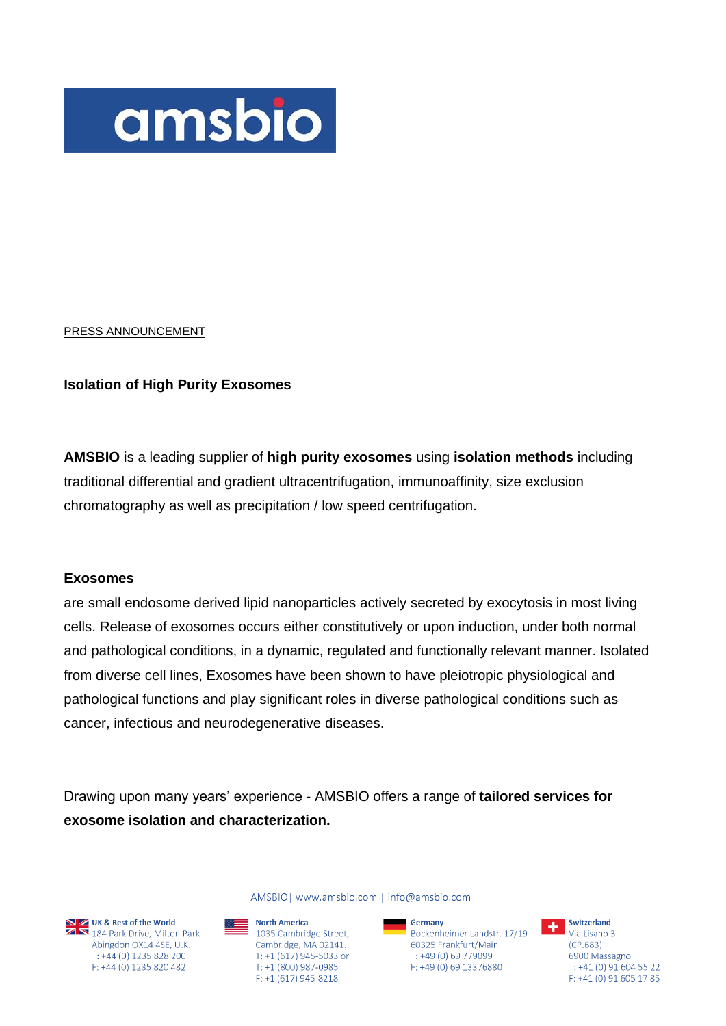

#### PRESS ANNOUNCEMENT

### **Isolation of High Purity Exosomes**

**AMSBIO** is a leading supplier of **high purity exosomes** using **isolation methods** including traditional differential and gradient ultracentrifugation, immunoaffinity, size exclusion chromatography as well as precipitation / low speed centrifugation.

#### **Exosomes**

are small endosome derived lipid nanoparticles actively secreted by exocytosis in most living cells. Release of exosomes occurs either constitutively or upon induction, under both normal and pathological conditions, in a dynamic, regulated and functionally relevant manner. Isolated from diverse cell lines, Exosomes have been shown to have pleiotropic physiological and pathological functions and play significant roles in diverse pathological conditions such as cancer, infectious and neurodegenerative diseases.

Drawing upon many years' experience - AMSBIO offers a range of **tailored services for exosome isolation and characterization.**

**NEXT UK & Rest of the World**<br>**ZERT 184 Park Drive, Milton Park** Abingdon OX14 4SE, U.K. T: +44 (0) 1235 828 200 F: +44 (0) 1235 820 482

AMSBIO | www.amsbio.com | info@amsbio.com

North America  $\equiv$  1035 Cambridge Street, Cambridge, MA 02141. T: +1 (617) 945-5033 or T: +1 (800) 987-0985  $F: +1(617)945 - 8218$ 

**Germany**<br>Bockenheimer Landstr. 17/19 **The Switzerland** Germany 60325 Frankfurt/Main T: +49 (0) 69 779099 F: +49 (0) 69 13376880

 $(CP.683)$ 6900 Massagno T: +41 (0) 91 604 55 22 F: +41 (0) 91 605 17 85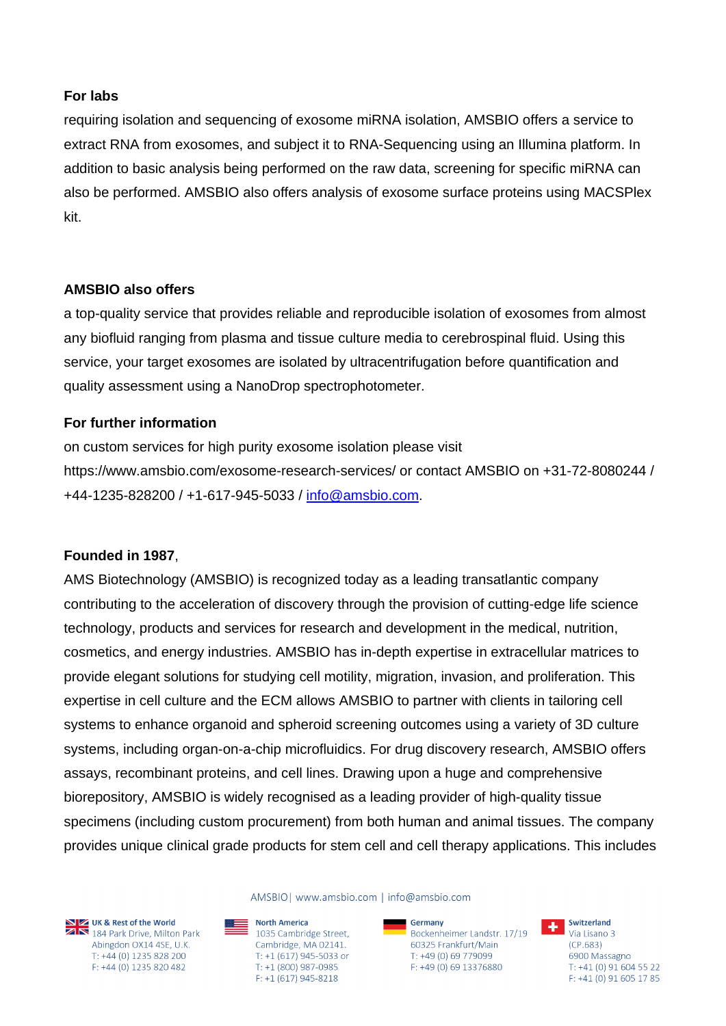# **For labs**

requiring isolation and sequencing of exosome miRNA isolation, AMSBIO offers a service to extract RNA from exosomes, and subject it to RNA-Sequencing using an Illumina platform. In addition to basic analysis being performed on the raw data, screening for specific miRNA can also be performed. AMSBIO also offers analysis of exosome surface proteins using MACSPlex kit.

## **AMSBIO also offers**

a top-quality service that provides reliable and reproducible isolation of exosomes from almost any biofluid ranging from plasma and tissue culture media to cerebrospinal fluid. Using this service, your target exosomes are isolated by ultracentrifugation before quantification and quality assessment using a NanoDrop spectrophotometer.

## **For further information**

on custom services for high purity exosome isolation please visit https://www.amsbio.com/exosome-research-services/ or contact AMSBIO on +31-72-8080244 / +44-1235-828200 / +1-617-945-5033 / [info@amsbio.com.](mailto:info@amsbio.com)

# **Founded in 1987**,

AMS Biotechnology (AMSBIO) is recognized today as a leading transatlantic company contributing to the acceleration of discovery through the provision of cutting-edge life science technology, products and services for research and development in the medical, nutrition, cosmetics, and energy industries. AMSBIO has in-depth expertise in extracellular matrices to provide elegant solutions for studying cell motility, migration, invasion, and proliferation. This expertise in cell culture and the ECM allows AMSBIO to partner with clients in tailoring cell systems to enhance organoid and spheroid screening outcomes using a variety of 3D culture systems, including organ-on-a-chip microfluidics. For drug discovery research, AMSBIO offers assays, recombinant proteins, and cell lines. Drawing upon a huge and comprehensive biorepository, AMSBIO is widely recognised as a leading provider of high-quality tissue specimens (including custom procurement) from both human and animal tissues. The company provides unique clinical grade products for stem cell and cell therapy applications. This includes



**NEXT UK & Rest of the World**<br>**ZAN** 184 Park Drive, Milton Park Abingdon OX14 4SE, U.K. T: +44 (0) 1235 828 200 F: +44 (0) 1235 820 482

AMSBIO| www.amsbio.com | info@amsbio.com

North America  $\frac{1}{2}$  1035 Cambridge Street, Cambridge, MA 02141. T: +1 (617) 945-5033 or T: +1 (800) 987-0985  $F: +1(617)945 - 8218$ 

**Germany**<br>Bockenheimer Landstr. 17/19 **The Switzerland** Germany 60325 Frankfurt/Main T: +49 (0) 69 779099 F: +49 (0) 69 13376880



 $(CP.683)$ 6900 Massagno T: +41 (0) 91 604 55 22 F: +41 (0) 91 605 17 85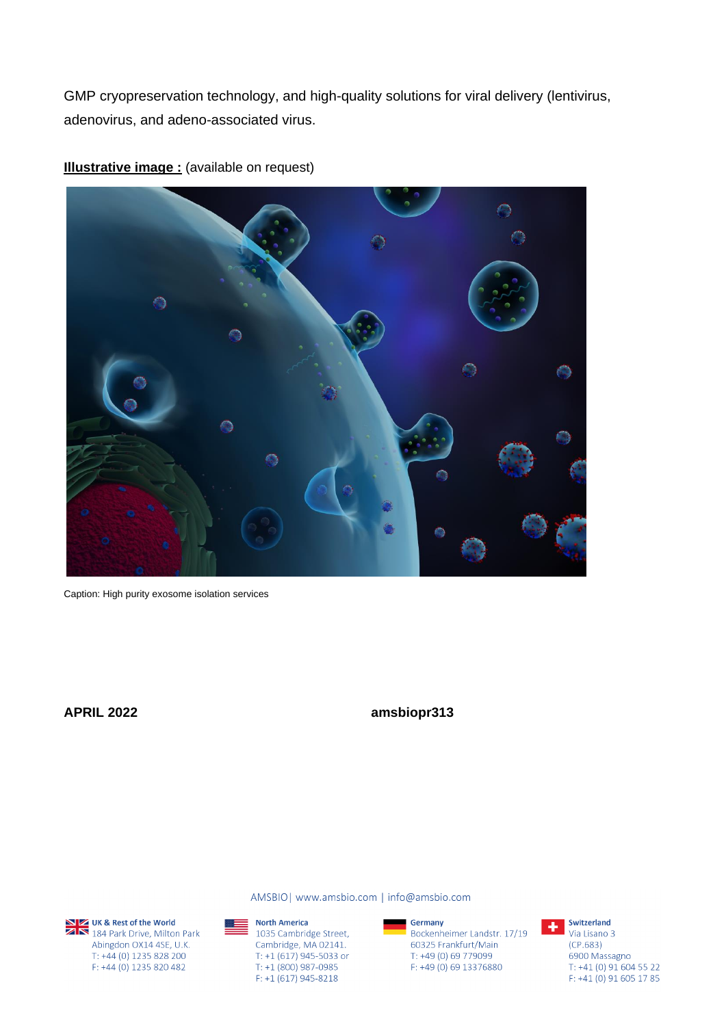GMP cryopreservation technology, and high-quality solutions for viral delivery (lentivirus, adenovirus, and adeno-associated virus.



**Illustrative image :** (available on request)

Caption: High purity exosome isolation services

**APRIL 2022 amsbiopr313**

UK & Rest of the World<br>2 N 184 Park Drive, Milton Park Abingdon OX14 4SE, U.K. T: +44 (0) 1235 828 200 F: +44 (0) 1235 820 482

▓▆

AMSBIO | www.amsbio.com | info@amsbio.com



Germany Bockenheimer Landstr. 17/19 60325 Frankfurt/Main  $T: +49(0)69779099$ F: +49 (0) 69 13376880



Switzerland Via Lisano 3  $(CP.683)$ 6900 Massagno T: +41 (0) 91 604 55 22  $F: +41(0)916051785$